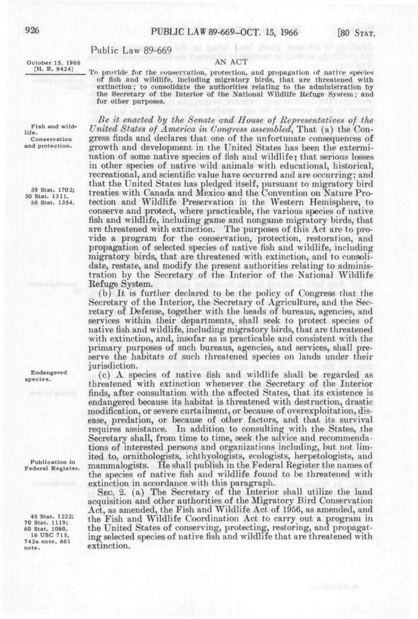## Public Law 89-669

AN ACT

**October 15, 1966 [H. R. 9424]** 

To provide for the conservation, protection, and propagation of native species of fish and wildlife, including migratory birds, that are threatened with extinction; to consolidate the authorities relating to the administration by the Secretary of the Interior of the National Wildlife Refuge System; and for other purposes.

*Be it enacted hy the Senate and House of Representatives of the*  United States of America in Congress assembled, That (a) the Congress finds and declares that one of the unfortunate consequences of growth and development in the United States has been the extermination of some native species of fish and wildlife; that serious losses in other species of native wild animals with educational, historical, recreational, and scientific value have occurred and are occurring; and that the United States has pledged itself, pursuant to migratory bird treaties with Canada and Mexico and the Convention on Nature Protection and Wildlife Preservation in the Western Hemisphere, to conserve and protect, where practicable, the various species of native fish and wildlife, including game and nongame migratory birds, that are threatened with extinction. The purposes of this Act are to provide a program for the conservation, protection, restoration, and propagation of selected species of native fish and wildlife, including migratory birds, that are threatened with extinction, and to consolidate, restate, and modify the present authorities relating to administration by the Secretary of the Interior of the National Wildlife Eefuge System.

(b) It is further declared to be the policy of Congress that the Secretary of the Interior, the Secretary of Agriculture, and the Secretary of Defense, together with the heads of bureaus, agencies, and services within their departments, shall seek to protect species of native fish and wildlife, including migratory birds, that are threatened with extinction, and, insofar as is practicable and consistent with the primary purposes of such bureaus, agencies, and services, shall preserve the habitats of such threatened species on lands under their jurisdiction.

(c) A species of native fish and wildlife shall be regarded as threatened with extinction whenever the Secretary of the Interior finds, after consultation with the affected States, that its existence is endangered because its habitat is threatened with destruction, drastic modification, or severe curtailment, or because of overexploitation, disease, predation, or because of other factors, and that its survival requires assistance. In addition to consulting with the States, the Secretary shall, from time to time, seek the advice and recommendations of interested persons and organizations including, but not limited to, ornithologists, ichthyologists, ecologists, herpetologists, and mammalogists. He shall publish in the Federal Register the names of the species of native fish and wildlife found to be threatened with extinction in accordance with this paragraph.

SEC. 2. (a) The Secretary of the Interior shall utilize the land acquisition and other authorities of the Migratory Bird Conservation Act, as amended, the Fish and Wildlife Act of 1956, as amended, and the Fish and Wildlife Coordination Act to carry out a program in the United States of conserving, protecting, restoring, and propagating selected species of native fish and wildlife that are threatened with extinction.

**Fish and wildlife. Conservation and protection.** 

**39 Stat. 1702; 50 Stat. 1311. 56 Stat. 1354.** 

**Endangered species.** 

**Publication in Federal Register.** 

**45 Stat. 1222; 70 Stat. 1119; 60 Stat. 1080.**  16 **USC** 715, **742a note, 661 note.**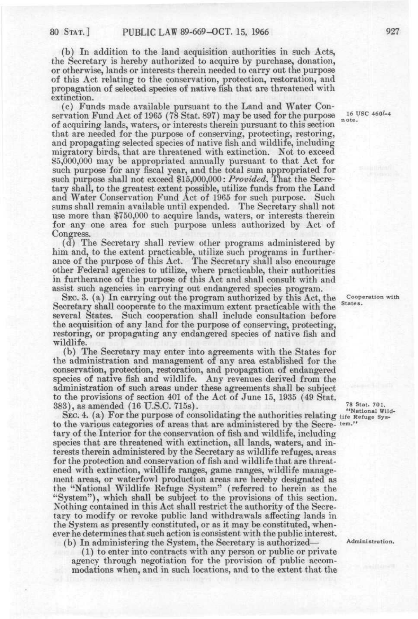(b) In addition to the land acquisition authorities in such Acts, the Secretary is hereby authorized to acquire by purchase, donation, or otherwise, lands or interests therein needed to carry out the purpose of this Act relating to the conservation, protection, restoration, and propagation of selected species of native fish that are threatened with extinction.

(c) Funds made available pursuant to the Land and Water Conservation Fund Act of 1965 (78 Stat. 897) may be used for the purpose of acquiring lands, waters, or interests therein pursuant to this section that are needed for the purpose of conserving, protecting, restoring, and propagating selected species of native fish and wildlife, including migratory birds, that are threatened with extinction. Not to exceed \$5,000,000 may be appropriated annually pursuant to that Act for such purpose for any fiscal year, and the total sum appropriated for such purpose shall not exceed \$15,000,000: Provided, That the Secretary shall, to the greatest extent possible, utilize funds from the Land and Water Conservation Fund Act of 1965 for such purpose. Such sums shall remain available until expended. The Secretary shall not use more than \$750,000 to acquire lands, waters, or interests therein for any one area for such purpose unless authorized by Act of Congress.

(d) The Secretary shall review other programs administered by him and, to the extent practicable, utilize such programs in furtherance of the purpose of this Act. The Secretary shall also encourage other Federal agencies to utilize, where practicable, their authorities in furtherance of the purpose of this Act and shall consult with and assist such agencies in carrying out endangered species program.

SEC. 3. (a) In carrying out the program authorized by this Act, the Secretary shall cooperate to the maximum extent practicable with the several States. Such cooperation shall include consultation before the acquisition of any land for the purpose of conserving, protecting, restoring, or propagating any endangered species of native fish and wildlife.

(b) The Secretary may enter into agreements with the States for the administration and management of any area established for the conservation, protection, restoration, and propagation of endangered species of native fish and wildlife. Any revenues derived from the administration of such areas under these agreements shall be subject to the provisions of section 401 of the Act of June 15, 1935 (49 Stat. 383), as amended (16 U.S.C. 715s).

SEC. 4. (a) For the purpose of consolidating the authorities relating  $_{\text{life}}$  Refuge Systo the various categories of areas that are administered by the Secre- tem." tary of the Interior for the conservation of fish and wildlife, including species that are threatened with extinction, all lands, waters, and interests therein administered by the Secretary as wildlife refuges, areas for the protection and conservation of fish and wildlife that are threatened with extinction, wildlife ranges, game ranges, wildlife management areas, or waterfowl production areas are hereby designated as the "National Wildlife Kefuge System" (referred to herein as the "System"), which shall be subject to the provisions of this section. Nothing contained in this Act shall restrict the authority of the Secretary to modify or revoke public land withdrawals affecting lands in the System as presently constituted, or as it may be constituted, whenever he determines that such action is consistent with the public interest.

(b) In administering the System, the Secretary is authorized—

(1) to enter into contracts with any person or public or private agency through negotiation for the provision of public accommodations when, and in such locations, and to the extent that the

16 USC 460<sup>-4</sup> n ote.

Cooperation with States.

78 Stat. 701. "National Wild-

Admini stra tion.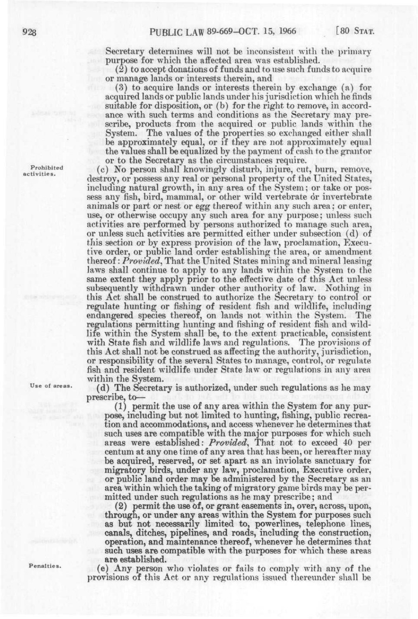Secretary determines will not be inconsistent with the primary purpose for which the affected area was established.

(2) to accept donations of funds and to use such funds to acquire or manage lands or interests therein, and

(3) to acquire lands or interests therein by exchange (a) for acquired lands or public lands under his jurisdiction which he finds suitable for disposition, or (b) for the right to remove, in accordance with such terms and conditions as the Secretary may prescribe, products from the acquired or public lands within the System. The values of the properties so exchanged either shall be approximately equal, or if they are not approximately equal the values shall be equalized by the payment of cash to the grantor or to the Secretary as the circumstances require.

(c) No person shall knowingly disturb, injure, cut, burn, remove, destroy, or possess any real or personal property of the United States, including natural growth, in any area of the System; or take or possess any fish, bird, mammal, or other wild vertebrate or invertebrate animals or part or nest or *egg* thereof within any such area; or enter, use, or otherwise occupy any such area for any purpose; unless such activities are performed by persons authorized to manage such area, or unless such activities are permitted either under subsection (d) of this section or by express provision of the law, proclamation. Executive order, or public land order establishing the area, or amendment thereof: *Provided,* That the United States mining and mineral leasing laws shall continue to apply to any lands within the System to the same extent they apply prior to the effective date of this Act unless subsequently withdrawn under other authority of law. Nothing in this Act shall be construed to authorize the Secretary to control or regulate hunting or fishing of resident fish and wildlife, including endangered species thereof, on lands not within the System. The regulations permitting hunting and fishing of resident fish and wildlife within the System shall be, to the extent practicable, consistent with State fish and wildlife laws and regulations. The provisions of this Act shall not be construed as affecting the authority, jurisdiction, or responsibility of the several States to manage, control, or regulate fish and resident wildlife under State law or regulations in any area within the System.

(d) The Secretary is authorized, under such regulations as he may prescribe, to—

(1) permit the use of any area within the System for any purpose, including but not limited to hunting, fishing, public recreation and accommodations, and access whenever he determines that such uses are compatible with the major purposes for which such areas were established: *Provided,* That not to exceed 40 per centum at any one time of any area that has been, or hereafter may be acquired, reserved, or set apart as an inviolate sanctuary for migratory birds, under any law, proclamation. Executive order, or public land order may be administered by the Secretary as an area within which the taking of migratory game birds may be permitted under such regulations as he may prescribe; and

(2) permit the use 6f, or grant easements in, over, across, upon, through, or under any areas within the System for purposes such as but not necessarily limited to, powerlines, telephone lines, canals, ditches, pipelines, and roads, including the construction, operation, and maintenance thereof, whenever he determines that such uses are compatible with the purposes for which these areas are established.

(e^ Any person who violates or fails to comply with any of the provisions of this Act or any regulations issued thereunder shall be

Prohibited activities.

Use of areas.

Penalties.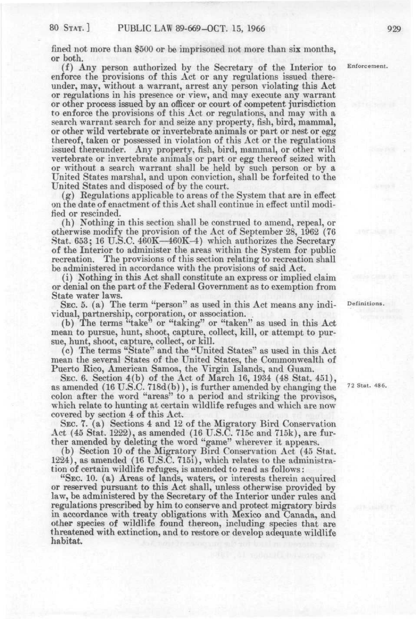fined not more than \$500 or be imprisoned not more than six months, or both.

(f) Any person authorized by the Secretary of the Interior to enforce the provisions of this Act or any regulations issued thereunder, may, without a warrant, arrest any person violating this Act or regulations in his presence or view, and may execute any warrant or other process issued by an officer or court of competent jurisdiction to enforce the provisions of this Act or regulations, and may with a search warrant search for and seize any property, fish, bird, mammal, or other wild vertebrate or invertebrate animals or part or nest or egg thereof, taken or possessed in violation of this Act or the regulations issued thereunder. Any property, fish, bird, mammal, or other wild vertebrate or invertebrate animals or part or egg thereof seized with or without a search warrant shall be held by such person or by a United States marshal, and upon conviction, shall be forfeited to the United States and disposed of by the court.

(g) Regulations applicable to areas of the System that are in effect on the date of enactment of this Act shall continue in effect until modified or rescinded.

(h) Nothing in this section shall be construed to amend, repeal, or otherwise modify the provision of the Act of September 28, 1962 (76 Stat. 653; 16 U.S.C. 460K—460K-4) which authorizes the Secretary of the Interior to administer the areas within the System for public recreation. The provisions of this section relating to recreation shall be administered in accordance with the provisions of said Act.

(i) Nothing in this Act shall constitute an express or implied claim or denial on the part of the Federal Government as to exemption from State water laws.

SEC. 5. (a) The term "person" as used in this Act means any individual, partnership, corporation, or association.

(b) The terms "take" or "taking" or "taken" as used in this Act mean to pursue, hunt, shoot, capture, collect, kill, or attempt to pursue, hunt, shoot, capture, collect, or kill.

(c) The terms "State" and the "United States" as used in this Act mean the several States of the United States, the Commonwealth of Puerto Rico, American Samoa, the Virgin Islands, and Guam.

SEC. 6. Section 4(b) of the Act of March 16, 1934 (48 Stat. 451), as amended (16 U.S.C. 7l8d(b)), is further amended by changing the colon after the word "areas" to a period and striking the provisos, which relate to hunting at certain wildlife refuges and which are now covered by section 4 of this Act.

SEC. 7. (a) Sections 4 and 12 of the Migratory Bird Conservation Act (45 Stat. 1222), as amended (16 U.S.C. 7l5c and 715k), are further amended by deleting the word "game" wherever it appears.

(b) Section 10 of the Migratory Bird Conservation Act (45 Stat. 1224), as amended (16 U.S.C. 7l5i), which relates to the administration of certain wildlife refuges, is amended to read as follows:

"SEC. 10. (a) Areas of lands, waters, or interests therein acquired or reserved pursuant to this Act shall, unless otherwise provided by law, be administered by the Secretary of the Interior under rules and regulations prescribed by him to conserve and protect migratory birds in accordance with treaty obligations with Mexico and Canada, and other species of wildlife found thereon, including species that are threatened with extinction, and to restore or develop adequate wildlife habitat.

Definitions.

72 Stat. 486.